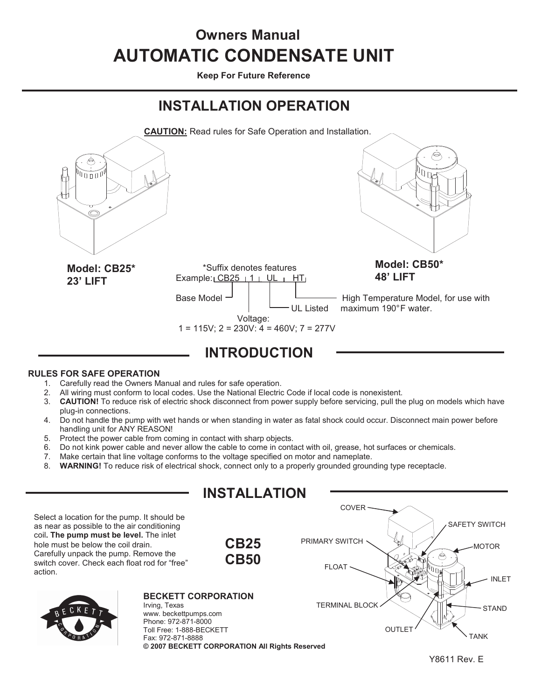# **AUTOMATIC CONDENSATE UNIT Owners Manual**

**Keep For Future Reference** 

## **INSTALLATION OPERATION**



#### **RULES FOR SAFE OPERATION**

- 1. Carefully read the Owners Manual and rules for safe operation.<br>2. All wiring must conform to local codes. Use the National Electric
- All wiring must conform to local codes. Use the National Electric Code if local code is nonexistent.
- 3. **CAUTION!** To reduce risk of electric shock disconnect from power supply before servicing, pull the plug on models which have plug-in connections.
- 4. Do not handle the pump with wet hands or when standing in water as fatal shock could occur. Disconnect main power before handling unit for ANY REASON!
- 
- 5. Protect the power cable from coming in contact with sharp objects.<br>6. Do not kink power cable and never allow the cable to come in conta 6. Do not kink power cable and never allow the cable to come in contact with oil, grease, hot surfaces or chemicals.<br>7. Make certain that line voltage conforms to the voltage specified on motor and nameplate.
- Make certain that line voltage conforms to the voltage specified on motor and nameplate.
- 8. **WARNING!** To reduce risk of electrical shock, connect only to a properly grounded grounding type receptacle.

|                                                                                                                                                                                                                                                                        | <b>INSTALLATION</b>                                                        |                                     |                               |
|------------------------------------------------------------------------------------------------------------------------------------------------------------------------------------------------------------------------------------------------------------------------|----------------------------------------------------------------------------|-------------------------------------|-------------------------------|
|                                                                                                                                                                                                                                                                        |                                                                            | COVER :                             |                               |
| Select a location for the pump. It should be<br>as near as possible to the air conditioning<br>coil. The pump must be level. The inlet<br>hole must be below the coil drain.<br>Carefully unpack the pump. Remove the<br>switch cover. Check each float rod for "free" | <b>CB25</b><br><b>CB50</b>                                                 | PRIMARY SWITCH<br>⊝<br><b>FLOAT</b> | <b>SAFETY SWITCH</b><br>MOTOR |
| action.                                                                                                                                                                                                                                                                |                                                                            |                                     | <b>INLET</b>                  |
| Irving, Texas<br>BECKETT                                                                                                                                                                                                                                               | <b>BECKETT CORPORATION</b>                                                 | <b>TERMINAL BLOCK</b>               | <b>STAND</b>                  |
| www.beckettpumps.com<br>Phone: 972-871-8000<br>Fax: 972-871-8888                                                                                                                                                                                                       | Toll Free: 1-888-BECKETT<br>© 2007 BECKETT CORPORATION All Rights Reserved | OUTLE <sup>-</sup>                  | <b>TANK</b>                   |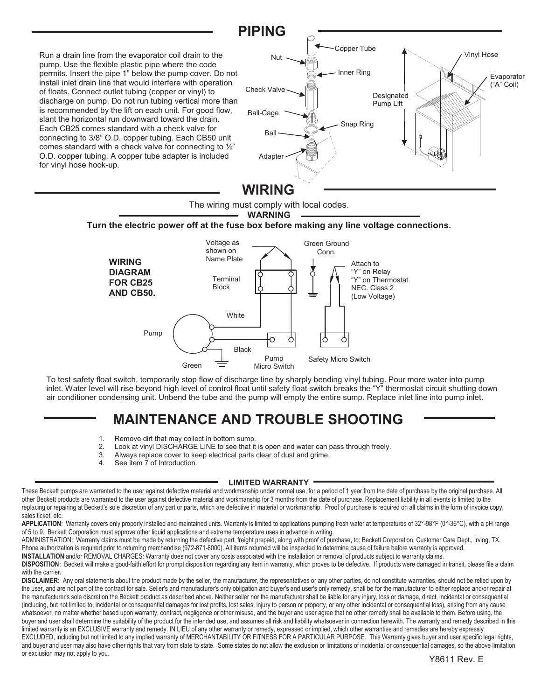

**WARNING** 

#### **Turn the electric power off at the fuse box before making any line voltage connections.**



To test safety float switch, temporarily stop flow of discharge line by sharply bending vinyl tubing. Pour more water into pump inlet. Water level will rise beyond high level of control float until safety float switch breaks the "Y" thermostat circuit shutting down air conditioner condensing unit. Unbend the tube and the pump will empty the entire sump. Replace inlet line into pump inlet.

## **MAINTENANCE AND TROUBLE SHOOTING**

- 1. Remove dirt that may collect in bottom sump.<br>2. Look at vinyl DISCHARGE LINE to see that it
- 2. Look at vinyl DISCHARGE LINE to see that it is open and water can pass through freely.<br>3. Always replace cover to keep electrical parts clear of dust and grime.
- Always replace cover to keep electrical parts clear of dust and grime.
- 4. See item 7 of Introduction.

#### **LIMITED WARRANTY**

These Beckett pumps are warranted to the user against defective material and workmanship under normal use, for a period of 1 year from the date of purchase by the original purchase. All other Beckett products are warranted to the user against defective material and workmanship for 3 months from the date of purchase. Replacement liability in all events is limited to the replacing or repairing at Beckett's sole discretion of any part or parts, which are defective in material or workmanship. Proof of purchase is required on all claims in the form of invoice copy, sales ticket, etc.

APPLICATION: Warranty covers only properly installed and maintained units. Warranty is limited to applications pumping fresh water at temperatures of 32°-98°F (0°-36°C), with a pH range of 5 to 9. Beckett Corporation must approve other liquid applications and extreme temperature uses in advance in writing.

ADMINISTRATION: Warranty claims must be made by returning the defective part, freight prepaid, along with proof of purchase, to: Beckett Corporation, Customer Care Dept., Irving, TX. Phone authorization is required prior to returning merchandise (972-871-8000). All items returned will be inspected to determine cause of failure before warranty is approved.

INSTALLATION and/or REMOVAL CHARGES: Warranty does not cover any costs associated with the installation or removal of products subject to warranty claims.

DISPOSITION: Beckett will make a good-faith effort for prompt disposition regarding any item in warranty, which proves to be defective. If products were damaged in transit, please file a claim with the carrier.

DISCLAIMER: Any oral statements about the product made by the seller, the manufacturer, the representatives or any other parties, do not constitute warranties, should not be relied upon by the user, and are not part of the contract for sale. Seller's and manufacturer's only obligation and buyer's and user's only remedy, shall be for the manufacturer to either replace and/or repair at the manufacturer's sole discretion the Beckett product as described above. Neither seller nor the manufacturer shall be liable for any injury, loss or damage, direct, incidental or consequential (including, but not limited to, incidental or consequential damages for lost profits, lost sales, injury to person or property, or any other incidental or consequential loss), arising from any cause whatsoever, no matter whether based upon warranty, contract, negligence or other misuse, and the buyer and user agree that no other remedy shall be available to them. Before using, the buyer and user shall determine the suitability of the product for the intended use, and assumes all risk and liability whatsoever in connection herewith. The warranty and remedy described in this limited warranty is an EXCLUSIVE warranty and remedy. IN LIEU of any other warranty or remedy, expressed or implied, which other warranties and remedies are hereby expressly EXCLUDED, including but not limited to any implied warranty of MERCHANTABILITY OR FITNESS FOR A PARTICULAR PURPOSE. This Warranty gives buyer and user specific legal rights, and buyer and user may also have other rights that vary from state to state. Some states do not allow the exclusion or limitations of incidental or consequential damages, so the above limitation or exclusion may not apply to you.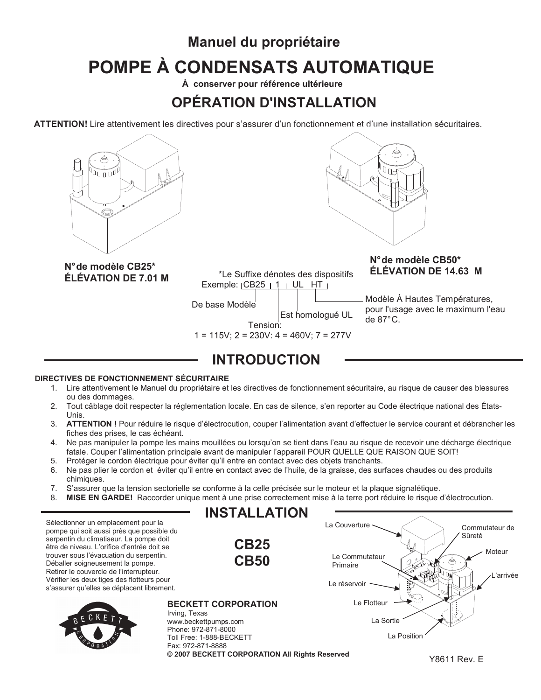# **Manuel du propriétaire POMPE À CONDENSATS AUTOMATIQUE**

**À conserver pour référence ultérieure** 

## **OPÉRATION D'INSTALLATION**

**ATTENTION!** Lire attentivement les directives pour s'assurer d'un fonctionnement et d'une installation sécuritaires.





N° de modèle CB25\*<br>**ÉLÉVATION DE 7 01 M** N° <sup>the Suffixe dénotes des dispositifs **ÉLÉVATION DE 14.63 M**</sup> **ÉLÉVATION DE 7.01 M** 

Exemple:  $|CB25| 1 | UL$  HT

De base Modèle

 Est homologué UL Tension:

 $1 = 115V$ ;  $2 = 230V$ ;  $4 = 460V$ ;  $7 = 277V$ 

# **N° de modèle CB50\***

Modèle À Hautes Températures, pour l'usage avec le maximum l'eau de 87° C.

## **INTRODUCTION**

#### **DIRECTIVES DE FONCTIONNEMENT SÉCURITAIRE**

- 1. Lire attentivement le Manuel du propriétaire et les directives de fonctionnement sécuritaire, au risque de causer des blessures ou des dommages.
- 2. Tout câblage doit respecter la réglementation locale. En cas de silence, s'en reporter au Code électrique national des États-Unis.
- 3. **ATTENTION !** Pour réduire le risque d'électrocution, couper l'alimentation avant d'effectuer le service courant et débrancher les fiches des prises, le cas échéant.
- 4. Ne pas manipuler la pompe les mains mouillées ou lorsqu'on se tient dans l'eau au risque de recevoir une décharge électrique fatale. Couper l'alimentation principale avant de manipuler l'appareil POUR QUELLE QUE RAISON QUE SOIT!
- 5. Protéger le cordon électrique pour éviter qu'il entre en contact avec des objets tranchants.
- 6. Ne pas plier le cordon et éviter qu'il entre en contact avec de l'huile, de la graisse, des surfaces chaudes ou des produits chimiques.
- 7. S'assurer que la tension sectorielle se conforme à la celle précisée sur le moteur et la plaque signalétique.
- 8. **MISE EN GARDE!** Raccorder unique ment à une prise correctement mise à la terre port réduire le risque d'électrocution.



Fax: 972-871-8888 **© 2007 BECKETT CORPORATION All Rights Reserved**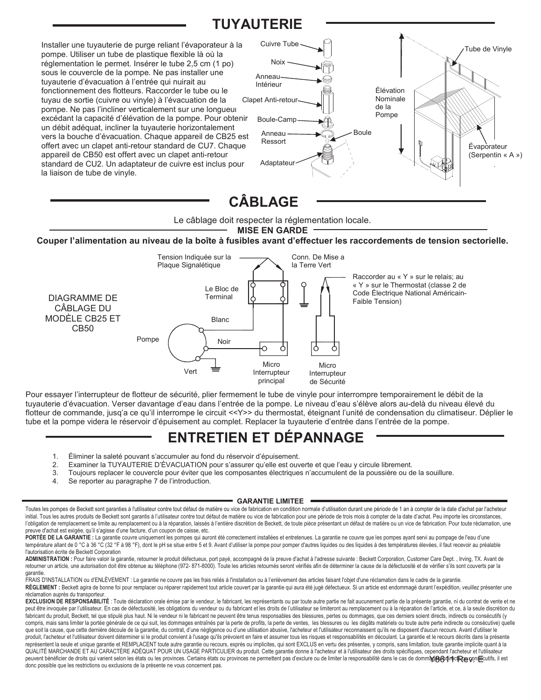### **TUYAUTERIE**

Installer une tuyauterie de purge reliant l'évaporateur à la pompe. Utiliser un tube de plastique flexible là où la réglementation le permet. Insérer le tube 2,5 cm (1 po) sous le couvercle de la pompe. Ne pas installer une tuyauterie d'évacuation à l'entrée qui nuirait au fonctionnement des flotteurs. Raccorder le tube ou le tuyau de sortie (cuivre ou vinyle) à l'évacuation de la pompe. Ne pas l'incliner verticalement sur une longueur excédant la capacité d'élévation de la pompe. Pour obtenir un débit adéquat, incliner la tuyauterie horizontalement vers la bouche d'évacuation. Chaque appareil de CB25 est offert avec un clapet anti-retour standard de CU7. Chaque appareil de CB50 est offert avec un clapet anti-retour standard de CU2. Un adaptateur de cuivre est inclus pour la liaison de tube de vinyle.



## **CÂBLAGE**

Le câblage doit respecter la réglementation locale.

**MISE EN GARDE** 

**Couper l'alimentation au niveau de la boîte à fusibles avant d'effectuer les raccordements de tension sectorielle.** 



Pour essayer l'interrupteur de flotteur de sécurité, plier fermement le tube de vinyle pour interrompre temporairement le débit de la tuyauterie d'évacuation. Verser davantage d'eau dans l'entrée de la pompe. Le niveau d'eau s'élève alors au-delà du niveau élevé du flotteur de commande, jusq'a ce qu'il interrompe le circuit <<Y>> du thermostat, éteignant l'unité de condensation du climatiseur. Déplier le tube et la pompe videra le réservoir d'épuisement au complet. Replacer la tuyauterie d'entrée dans l'entrée de la pompe.

#### **ENTRETIEN ET DÉPANNAGE**

- 1. Éliminer la saleté pouvant s'accumuler au fond du réservoir d'épuisement.<br>2. Examiner la TUYAUTERIE D'ÉVACUATION pour s'assurer qu'elle est ouv
	- 2. Examiner la TUYAUTERIE D'ÉVACUATION pour s'assurer qu'elle est ouverte et que l'eau y circule librement.
- 3. Toujours replacer le couvercle pour éviter que les composantes électriques n'accumulent de la poussière ou de la souillure.<br>4. Se reporter au paragraphe 7 de l'introduction
- Se reporter au paragraphe 7 de l'introduction.

#### **GARANTIE LIMITEE**

Toutes les pompes de Beckett sont garanties à l'utilisateur contre tout défaut de matière ou vice de fabrication en condition normale d'utilisation durant une période de 1 an à compter de la date d'achat par l'acheteur initial. Tous les autres produits de Beckett sont garantis à l'utilisateur contre tout défaut de matière ou vice de fabrication pour une période de trois mois à compter de la date d'achat. Peu importe les circonstances, l'obligation de remplacement se limite au remplacement ou à la réparation, laissés à l'entière discrétion de Beckett, de toute pièce présentant un défaut de matière ou un vice de fabrication. Pour toute réclamation, une

preuve d'achat est exigée, qu'il s'agisse d'une facture, d'un coupon de caisse, etc.<br>**PORTÉE DE LA GARANTIE :** La garantie couvre uniquement les pompes qui auront été correctement installées et entretenues. La garantie ne température allant de 0 °C à 36 °C (32 °F à 98 °F), dont le pH se situe entre 5 et 9. Avant d'utiliser la pompe pour pomper d'autres liquides ou des liquides à des températures élevées, il faut recevoir au préalable l'autorisation écrite de Beckett Corporation

ADMINISTRATION : Pour faire valoir la garantie, retourner le produit défectueux, port payé, accompagné de la preuve d'achat à l'adresse suivante : Beckett Corporation, Customer Care Dept., Irving, TX. Avant de retourner un article, une autorisation doit être obtenue au téléphone (972- 871-8000). Toute les articles retournés seront vérifiés afin de déterminer la cause de la défectuosité et de vérifier s'ils sont couverts par la garantie.

FRAIS D'INSTALLATION ou d'ENLÉVEMENT : La garantie ne couvre pas les frais reliés à l'installation ou à l'enlèvement des articles faisant l'objet d'une réclamation dans le cadre de la garantie. REGLEMENT : Beckett agira de bonne foi pour remplacer ou réparer rapidement tout article couvert par la garantie qui aura été jugé défectueux. Si un article est endommagé durant l'expédition, veuillez présenter une réclamation auprès du transporteur.

peuvent bénéficier de droits qui varient selon les états ou les provinces. Certains états ou provinces ne permettent pas d'exclure ou de limiter la responsabilité dans le cas de domm**à/@@qin¢ciRæ cons**ecutifs, il est EXCLUSION DE RESPONSABILITÉ : Toute déclaration orale émise par le vendeur, le fabricant, les représentants ou par toute autre partie ne fait aucunement partie de la présente garantie, ni du contrat de vente et ne peut être invoquée par l'utilisateur. En cas de défectuosité, les obligations du vendeur ou du fabricant et les droits de l'utilisateur se limiteront au remplacement ou à la réparation de l'article, et ce, à la seule discr fabricant du produit, Beckett, tel que stipulé plus haut. Ni le vendeur ni le fabricant ne peuvent être tenus responsables des blessures, pertes ou dommages, que ces derniers soient directs, indirects ou consécutifs (y compris, mais sans limiter la portée générale de ce qui suit, les dommages entraînés par la perte de profits, la perte de ventes, les blessures ou les dégâts matériels ou toute autre perte indirecte ou consécutive) quelle que soit la cause, que cette dernière découle de la garantie, du contrat, d'une négligence ou d'une utilisation abusive, l'acheteur et l'utilisateur reconnaissent qu'ils ne disposent d'aucun recours. Avant d'utiliser le produit, l'acheteur et l'utilisateur doivent déterminer si le produit convient à l'usage qu'ils prévoient en faire et assumer tous les risques et responsabilités en découlant. La garantie et le recours décrits dans la prés représentent la seule et unique garantie et REMPLACENT toute autre garantie ou recours, exprès ou implicites, qui sont EXCLUS en vertu des présentes, y compris, sans limitation, toute garantie implicite quant à la QUALITÉ MARCHANDE ET AU CARACTÉRE ADÉQUAT POUR UN USAGE PARTICULIER du produit. Cette garantie donne à l'acheteur et à l'utilisateur des droits spécifiques, cependant l'acheteur et l'utilisateur donc possible que les restrictions ou exclusions de la présente ne vous concernent pas.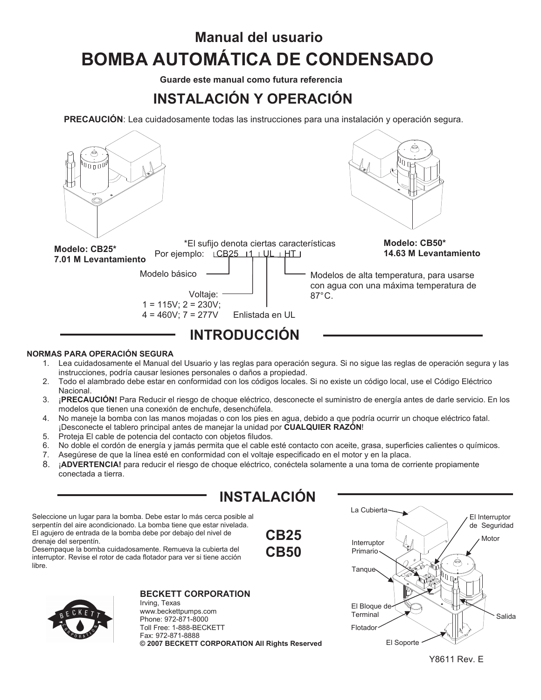# **Manual del usuario BOMBA AUTOMÁTICA DE CONDENSADO**

**Guarde este manual como futura referencia** 

## **INSTALACIÓN Y OPERACIÓN**

**PRECAUCIÓN**: Lea cuidadosamente todas las instrucciones para una instalación y operación segura.



- **NORMAS PARA OPERACIÓN SEGURA**
	- 1. Lea cuidadosamente el Manual del Usuario y las reglas para operación segura. Si no sigue las reglas de operación segura y las instrucciones, podría causar lesiones personales o daños a propiedad.
	- 2. Todo el alambrado debe estar en conformidad con los códigos locales. Si no existe un código local, use el Código Eléctrico Nacional.
	- 3. ¡**PRECAUCIÓN!** Para Reducir el riesgo de choque eléctrico, desconecte el suministro de energía antes de darle servicio. En los modelos que tienen una conexión de enchufe, desenchúfela.
	- 4. No maneje la bomba con las manos mojadas o con los pies en agua, debido a que podría ocurrir un choque eléctrico fatal. ¡Desconecte el tablero principal antes de manejar la unidad por **CUALQUIER RAZÓN**!
	- 5. Proteja El cable de potencia del contacto con objetos filudos.
	- 6. No doble el cordón de energía y jamás permita que el cable esté contacto con aceite, grasa, superficies calientes o químicos.
	- 7. Asegúrese de que la línea esté en conformidad con el voltaje especificado en el motor y en la placa.
	- 8. ¡**ADVERTENCIA!** para reducir el riesgo de choque eléctrico, conéctela solamente a una toma de corriente propiamente conectada a tierra.

## **INSTALACIÓN**

**CB25 CB50**

Seleccione un lugar para la bomba. Debe estar lo más cerca posible al serpentín del aire acondicionado. La bomba tiene que estar nivelada. El agujero de entrada de la bomba debe por debajo del nivel de drenaje del serpentín.

Desempaque la bomba cuidadosamente. Remueva la cubierta del interruptor. Revise el rotor de cada flotador para ver si tiene acción libre.



#### **BECKETT CORPORATION**

Irving, Texas www.beckettpumps.com Phone: 972-871-8000 Toll Free: 1-888-BECKETT Fax: 972-871-8888 **© 2007 BECKETT CORPORATION All Rights Reserved**



Y8611 Rev. E